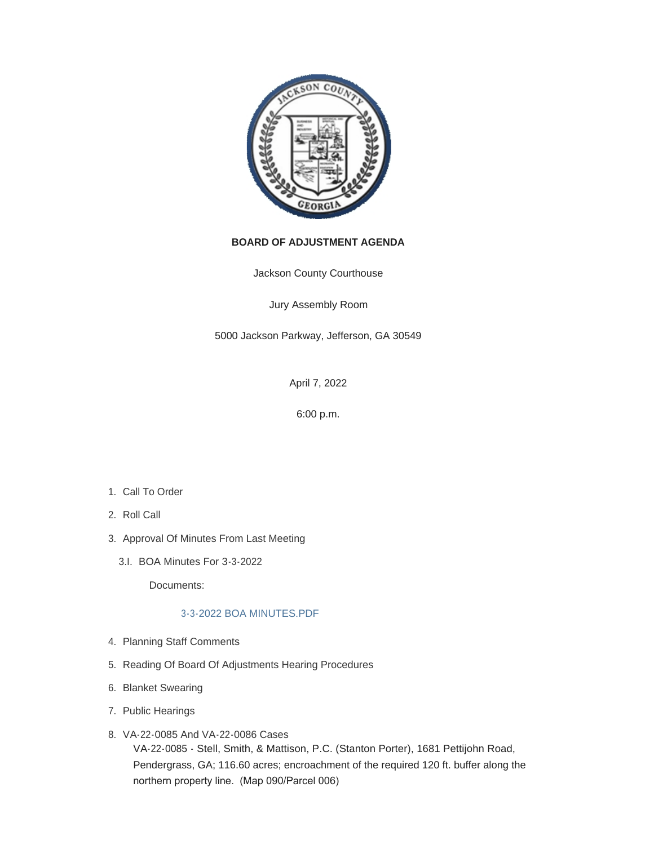

# **BOARD OF ADJUSTMENT AGENDA**

Jackson County Courthouse

Jury Assembly Room

5000 Jackson Parkway, Jefferson, GA 30549

April 7, 2022

6:00 p.m.

- 1. Call To Order
- 2. Roll Call
- 3. Approval Of Minutes From Last Meeting
	- BOA Minutes For 3-3-2022 3.I.

Documents:

## [3-3-2022 BOA MINUTES.PDF](http://www.jacksoncountygov.com/AgendaCenter/ViewFile/Item/1715?fileID=11917)

- 4. Planning Staff Comments
- 5. Reading Of Board Of Adjustments Hearing Procedures
- 6. Blanket Swearing
- 7. Public Hearings
- VA-22-0085 And VA-22-0086 Cases 8. VA-22-0085 - Stell, Smith, & Mattison, P.C. (Stanton Porter), 1681 Pettijohn Road, Pendergrass, GA; 116.60 acres; encroachment of the required 120 ft. buffer along the northern property line. (Map 090/Parcel 006)